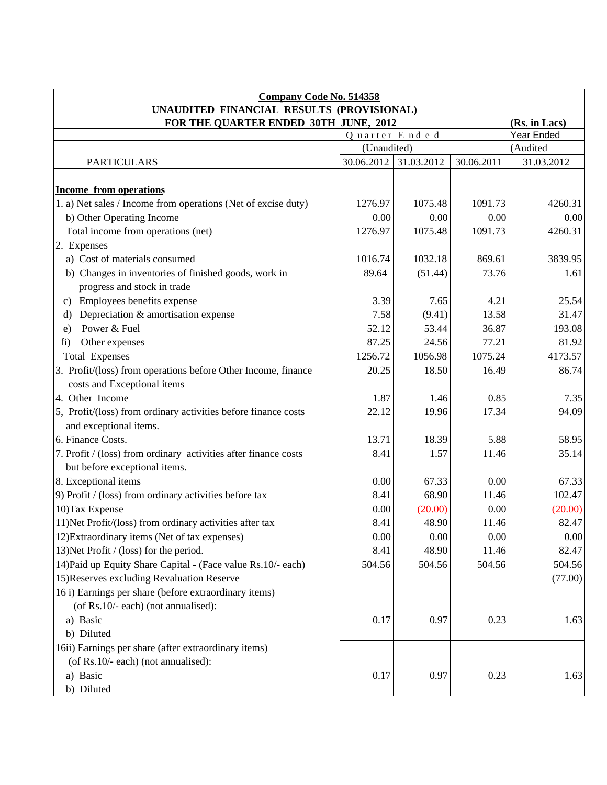| <b>Company Code No. 514358</b>                                  |                                       |            |            |                        |  |  |  |
|-----------------------------------------------------------------|---------------------------------------|------------|------------|------------------------|--|--|--|
| UNAUDITED FINANCIAL RESULTS (PROVISIONAL)                       |                                       |            |            |                        |  |  |  |
|                                                                 | FOR THE QUARTER ENDED 30TH JUNE, 2012 |            |            | (Rs. in Lacs)          |  |  |  |
|                                                                 | Quarter Ended<br>(Unaudited)          |            |            | Year Ended<br>(Audited |  |  |  |
| <b>PARTICULARS</b>                                              | 30.06.2012                            | 31.03.2012 | 30.06.2011 | 31.03.2012             |  |  |  |
|                                                                 |                                       |            |            |                        |  |  |  |
| <b>Income from operations</b>                                   |                                       |            |            |                        |  |  |  |
| 1. a) Net sales / Income from operations (Net of excise duty)   | 1276.97                               | 1075.48    | 1091.73    | 4260.31                |  |  |  |
| b) Other Operating Income                                       | 0.00                                  | 0.00       | 0.00       | 0.00                   |  |  |  |
| Total income from operations (net)                              | 1276.97                               | 1075.48    | 1091.73    | 4260.31                |  |  |  |
| 2. Expenses                                                     |                                       |            |            |                        |  |  |  |
| a) Cost of materials consumed                                   | 1016.74                               | 1032.18    | 869.61     | 3839.95                |  |  |  |
| b) Changes in inventories of finished goods, work in            | 89.64                                 | (51.44)    | 73.76      | 1.61                   |  |  |  |
| progress and stock in trade                                     |                                       |            |            |                        |  |  |  |
| Employees benefits expense<br>$\mathbf{c}$ )                    | 3.39                                  | 7.65       | 4.21       | 25.54                  |  |  |  |
| Depreciation & amortisation expense<br>d)                       | 7.58                                  | (9.41)     | 13.58      | 31.47                  |  |  |  |
| Power & Fuel<br>e)                                              | 52.12                                 | 53.44      | 36.87      | 193.08                 |  |  |  |
| Other expenses<br>fi)                                           | 87.25                                 | 24.56      | 77.21      | 81.92                  |  |  |  |
| <b>Total Expenses</b>                                           | 1256.72                               | 1056.98    | 1075.24    | 4173.57                |  |  |  |
| 3. Profit/(loss) from operations before Other Income, finance   | 20.25                                 | 18.50      | 16.49      | 86.74                  |  |  |  |
| costs and Exceptional items                                     |                                       |            |            |                        |  |  |  |
| 4. Other Income                                                 | 1.87                                  | 1.46       | 0.85       | 7.35                   |  |  |  |
| 5, Profit/(loss) from ordinary activities before finance costs  | 22.12                                 | 19.96      | 17.34      | 94.09                  |  |  |  |
| and exceptional items.                                          |                                       |            |            |                        |  |  |  |
| 6. Finance Costs.                                               | 13.71                                 | 18.39      | 5.88       | 58.95                  |  |  |  |
| 7. Profit / (loss) from ordinary activities after finance costs | 8.41                                  | 1.57       | 11.46      | 35.14                  |  |  |  |
| but before exceptional items.                                   |                                       |            |            |                        |  |  |  |
| 8. Exceptional items                                            | 0.00                                  | 67.33      | 0.00       | 67.33                  |  |  |  |
| 9) Profit / (loss) from ordinary activities before tax          | 8.41                                  | 68.90      | 11.46      | 102.47                 |  |  |  |
| 10) Tax Expense                                                 | 0.00                                  | (20.00)    | 0.00       | (20.00)                |  |  |  |
| 11) Net Profit/(loss) from ordinary activities after tax        | 8.41                                  | 48.90      | 11.46      | 82.47                  |  |  |  |
| 12) Extraordinary items (Net of tax expenses)                   | 0.00                                  | 0.00       | 0.00       | 0.00                   |  |  |  |
| 13) Net Profit / (loss) for the period.                         | 8.41                                  | 48.90      | 11.46      | 82.47                  |  |  |  |
| 14) Paid up Equity Share Capital - (Face value Rs.10/- each)    | 504.56                                | 504.56     | 504.56     | 504.56                 |  |  |  |
| 15) Reserves excluding Revaluation Reserve                      |                                       |            |            | (77.00)                |  |  |  |
| 16 i) Earnings per share (before extraordinary items)           |                                       |            |            |                        |  |  |  |
| (of Rs.10/- each) (not annualised):                             |                                       |            |            |                        |  |  |  |
| a) Basic                                                        | 0.17                                  | 0.97       | 0.23       | 1.63                   |  |  |  |
| b) Diluted                                                      |                                       |            |            |                        |  |  |  |
| 16ii) Earnings per share (after extraordinary items)            |                                       |            |            |                        |  |  |  |
| (of Rs.10/- each) (not annualised):                             |                                       |            |            |                        |  |  |  |
| a) Basic                                                        | 0.17                                  | 0.97       | 0.23       | 1.63                   |  |  |  |
| b) Diluted                                                      |                                       |            |            |                        |  |  |  |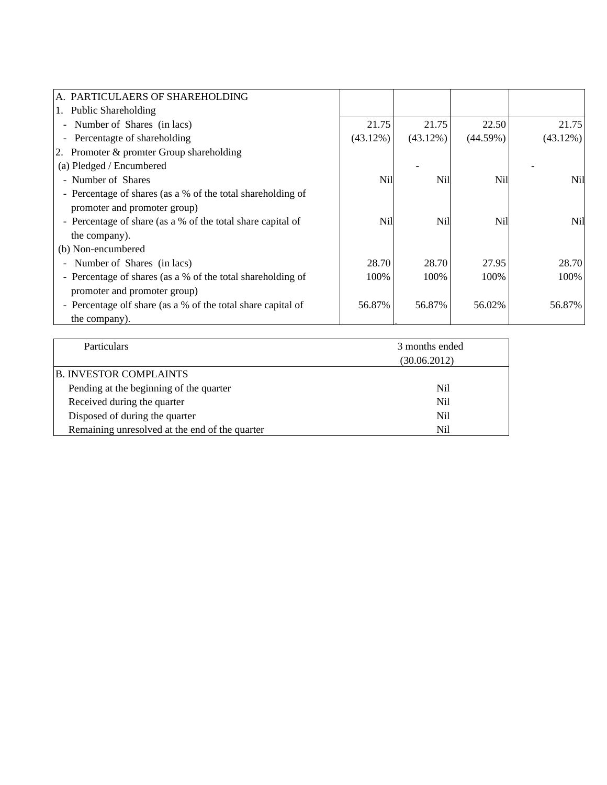| A. PARTICULAERS OF SHAREHOLDING                              |             |             |          |          |
|--------------------------------------------------------------|-------------|-------------|----------|----------|
| 1. Public Shareholding                                       |             |             |          |          |
| - Number of Shares (in lacs)                                 | 21.75       | 21.75       | 22.50    | 21.75    |
| - Percentagte of shareholding                                | $(43.12\%)$ | $(43.12\%)$ | (44.59%) | (43.12%) |
| 2. Promoter & promter Group shareholding                     |             |             |          |          |
| (a) Pledged / Encumbered                                     |             |             |          |          |
| - Number of Shares                                           | <b>Nil</b>  | Nil         | Nil      | Nil      |
| - Percentage of shares (as a % of the total shareholding of  |             |             |          |          |
| promoter and promoter group)                                 |             |             |          |          |
| - Percentage of share (as a % of the total share capital of  | Nil         | <b>Nil</b>  | Nil      | Nil      |
| the company).                                                |             |             |          |          |
| (b) Non-encumbered                                           |             |             |          |          |
| - Number of Shares (in lacs)                                 | 28.70       | 28.70       | 27.95    | 28.70    |
| - Percentage of shares (as a % of the total shareholding of  | 100%        | 100%        | 100%     | 100%     |
| promoter and promoter group)                                 |             |             |          |          |
| - Percentage olf share (as a % of the total share capital of | 56.87%      | 56.87%      | 56.02%   | 56.87%   |
| the company).                                                |             |             |          |          |

| <b>Particulars</b>                             | 3 months ended |  |
|------------------------------------------------|----------------|--|
|                                                | (30.06.2012)   |  |
| <b>B. INVESTOR COMPLAINTS</b>                  |                |  |
| Pending at the beginning of the quarter        | Nil            |  |
| Received during the quarter                    | Nil            |  |
| Disposed of during the quarter                 | Nil            |  |
| Remaining unresolved at the end of the quarter | Nil            |  |